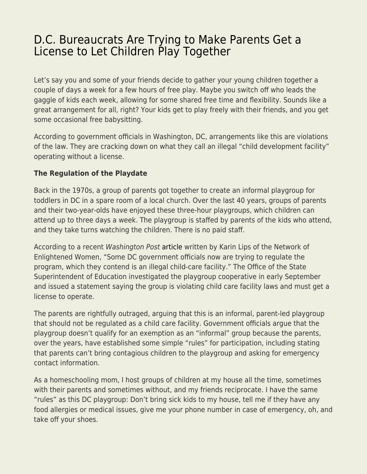## [D.C. Bureaucrats Are Trying to Make Parents Get a](https://everything-voluntary.com/d-c-bureaucrats-are-trying-to-make-parents-get-a-license-to-let-children-play-together) [License to Let Children Play Together](https://everything-voluntary.com/d-c-bureaucrats-are-trying-to-make-parents-get-a-license-to-let-children-play-together)

Let's say you and some of your friends decide to gather your young children together a couple of days a week for a few hours of free play. Maybe you switch off who leads the gaggle of kids each week, allowing for some shared free time and flexibility. Sounds like a great arrangement for all, right? Your kids get to play freely with their friends, and you get some occasional free babysitting.

According to government officials in Washington, DC, arrangements like this are violations of the law. They are cracking down on what they call an illegal "child development facility" operating without a license.

## **The Regulation of the Playdate**

Back in the 1970s, a group of parents got together to create an informal playgroup for toddlers in DC in a spare room of a local church. Over the last 40 years, groups of parents and their two-year-olds have enjoyed these three-hour playgroups, which children can attend up to three days a week. The playgroup is staffed by parents of the kids who attend, and they take turns watching the children. There is no paid staff.

According to a recent Washington Post [article](https://www.washingtonpost.com/blogs/all-opinions-are-local/wp/2018/11/01/d-c-should-just-let-the-children-play/) written by Karin Lips of the Network of Enlightened Women, "Some DC government officials now are trying to regulate the program, which they contend is an illegal child-care facility." The Office of the State Superintendent of Education investigated the playgroup cooperative in early September and issued a statement saying the group is violating child care facility laws and must get a license to operate.

The parents are rightfully outraged, arguing that this is an informal, parent-led playgroup that should not be regulated as a child care facility. Government officials argue that the playgroup doesn't qualify for an exemption as an "informal" group because the parents, over the years, have established some simple "rules" for participation, including stating that parents can't bring contagious children to the playgroup and asking for emergency contact information.

As a homeschooling mom, I host groups of children at my house all the time, sometimes with their parents and sometimes without, and my friends reciprocate. I have the same "rules" as this DC playgroup: Don't bring sick kids to my house, tell me if they have any food allergies or medical issues, give me your phone number in case of emergency, oh, and take off your shoes.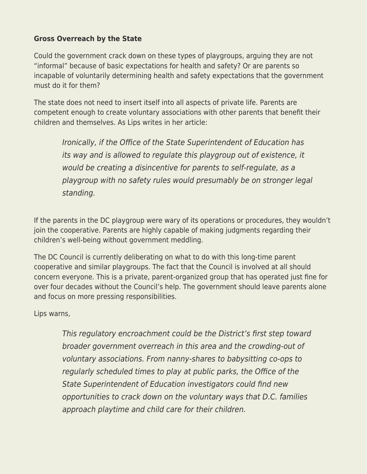## **Gross Overreach by the State**

Could the government crack down on these types of playgroups, arguing they are not "informal" because of basic expectations for health and safety? Or are parents so incapable of voluntarily determining health and safety expectations that the government must do it for them?

The state does not need to insert itself into all aspects of private life. Parents are competent enough to create voluntary associations with other parents that benefit their children and themselves. As Lips writes in her article:

Ironically, if the Office of the State Superintendent of Education has its way and is allowed to regulate this playgroup out of existence, it would be creating a disincentive for parents to self-regulate, as a playgroup with no safety rules would presumably be on stronger legal standing.

If the parents in the DC playgroup were wary of its operations or procedures, they wouldn't join the cooperative. Parents are highly capable of making judgments regarding their children's well-being without government meddling.

The DC Council is currently deliberating on what to do with this long-time parent cooperative and similar playgroups. The fact that the Council is involved at all should concern everyone. This is a private, parent-organized group that has operated just fine for over four decades without the Council's help. The government should leave parents alone and focus on more pressing responsibilities.

Lips warns,

This regulatory encroachment could be the District's first step toward broader government overreach in this area and the crowding-out of voluntary associations. From nanny-shares to babysitting co-ops to regularly scheduled times to play at public parks, the Office of the State Superintendent of Education investigators could find new opportunities to crack down on the voluntary ways that D.C. families approach playtime and child care for their children.